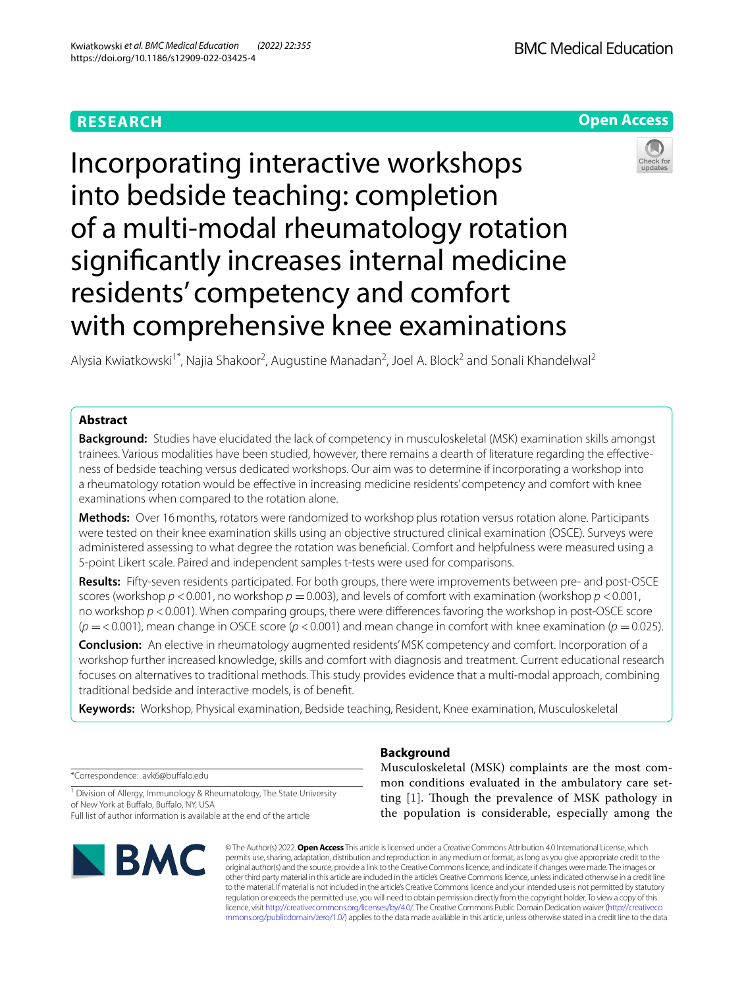## **RESEARCH**

**Open Access**

# Incorporating interactive workshops into bedside teaching: completion of a multi-modal rheumatology rotation signifcantly increases internal medicine residents' competency and comfort with comprehensive knee examinations



Alysia Kwiatkowski<sup>1\*</sup>, Najia Shakoor<sup>2</sup>, Augustine Manadan<sup>2</sup>, Joel A. Block<sup>2</sup> and Sonali Khandelwal<sup>2</sup>

## **Abstract**

**Background:** Studies have elucidated the lack of competency in musculoskeletal (MSK) examination skills amongst trainees. Various modalities have been studied, however, there remains a dearth of literature regarding the efectiveness of bedside teaching versus dedicated workshops. Our aim was to determine if incorporating a workshop into a rheumatology rotation would be efective in increasing medicine residents' competency and comfort with knee examinations when compared to the rotation alone.

**Methods:** Over 16months, rotators were randomized to workshop plus rotation versus rotation alone. Participants were tested on their knee examination skills using an objective structured clinical examination (OSCE). Surveys were administered assessing to what degree the rotation was benefcial. Comfort and helpfulness were measured using a 5-point Likert scale. Paired and independent samples t-tests were used for comparisons.

**Results:** Fifty-seven residents participated. For both groups, there were improvements between pre- and post-OSCE scores (workshop *p* <0.001, no workshop *p* =0.003), and levels of comfort with examination (workshop *p* <0.001, no workshop *p* <0.001). When comparing groups, there were diferences favoring the workshop in post-OSCE score  $(p = 0.001)$ , mean change in OSCE score  $(p < 0.001)$  and mean change in comfort with knee examination  $(p = 0.025)$ .

**Conclusion:** An elective in rheumatology augmented residents' MSK competency and comfort. Incorporation of a workshop further increased knowledge, skills and comfort with diagnosis and treatment. Current educational research focuses on alternatives to traditional methods. This study provides evidence that a multi-modal approach, combining traditional bedside and interactive models, is of beneft.

**Keywords:** Workshop, Physical examination, Bedside teaching, Resident, Knee examination, Musculoskeletal

\*Correspondence: avk6@bufalo.edu

<sup>1</sup> Division of Allergy, Immunology & Rheumatology, The State University of New York at Bufalo, Bufalo, NY, USA Full list of author information is available at the end of the article



## **Background**

Musculoskeletal (MSK) complaints are the most common conditions evaluated in the ambulatory care setting  $[1]$  $[1]$ . Though the prevalence of MSK pathology in the population is considerable, especially among the

© The Author(s) 2022. **Open Access** This article is licensed under a Creative Commons Attribution 4.0 International License, which permits use, sharing, adaptation, distribution and reproduction in any medium or format, as long as you give appropriate credit to the original author(s) and the source, provide a link to the Creative Commons licence, and indicate if changes were made. The images or other third party material in this article are included in the article's Creative Commons licence, unless indicated otherwise in a credit line to the material. If material is not included in the article's Creative Commons licence and your intended use is not permitted by statutory regulation or exceeds the permitted use, you will need to obtain permission directly from the copyright holder. To view a copy of this licence, visit [http://creativecommons.org/licenses/by/4.0/.](http://creativecommons.org/licenses/by/4.0/) The Creative Commons Public Domain Dedication waiver ([http://creativeco](http://creativecommons.org/publicdomain/zero/1.0/) [mmons.org/publicdomain/zero/1.0/](http://creativecommons.org/publicdomain/zero/1.0/)) applies to the data made available in this article, unless otherwise stated in a credit line to the data.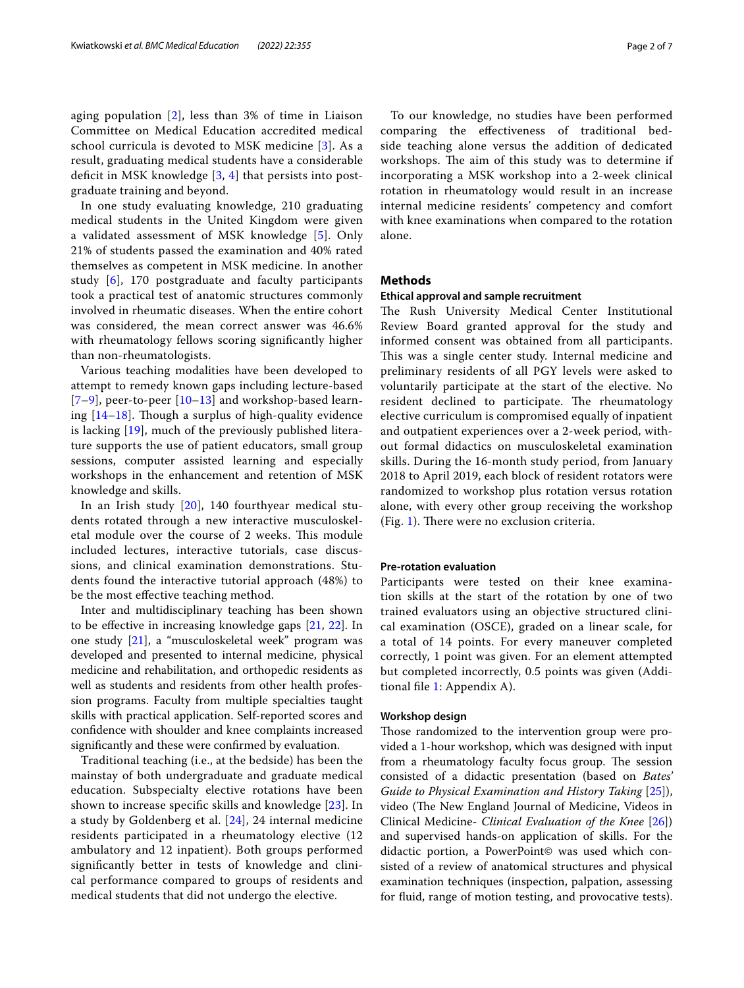aging population [\[2](#page-5-1)], less than 3% of time in Liaison Committee on Medical Education accredited medical school curricula is devoted to MSK medicine [[3\]](#page-5-2). As a result, graduating medical students have a considerable deficit in MSK knowledge  $[3, 4]$  $[3, 4]$  $[3, 4]$  $[3, 4]$  $[3, 4]$  that persists into postgraduate training and beyond.

In one study evaluating knowledge, 210 graduating medical students in the United Kingdom were given a validated assessment of MSK knowledge [\[5](#page-5-4)]. Only 21% of students passed the examination and 40% rated themselves as competent in MSK medicine. In another study [\[6](#page-5-5)], 170 postgraduate and faculty participants took a practical test of anatomic structures commonly involved in rheumatic diseases. When the entire cohort was considered, the mean correct answer was 46.6% with rheumatology fellows scoring signifcantly higher than non-rheumatologists.

Various teaching modalities have been developed to attempt to remedy known gaps including lecture-based  $[7-9]$  $[7-9]$  $[7-9]$ , peer-to-peer  $[10-13]$  $[10-13]$  and workshop-based learning  $[14-18]$  $[14-18]$ . Though a surplus of high-quality evidence is lacking [[19\]](#page-5-12), much of the previously published literature supports the use of patient educators, small group sessions, computer assisted learning and especially workshops in the enhancement and retention of MSK knowledge and skills.

In an Irish study [[20\]](#page-5-13), 140 fourthyear medical students rotated through a new interactive musculoskeletal module over the course of 2 weeks. This module included lectures, interactive tutorials, case discussions, and clinical examination demonstrations. Students found the interactive tutorial approach (48%) to be the most efective teaching method.

Inter and multidisciplinary teaching has been shown to be efective in increasing knowledge gaps [[21,](#page-5-14) [22](#page-6-0)]. In one study [[21](#page-5-14)], a "musculoskeletal week" program was developed and presented to internal medicine, physical medicine and rehabilitation, and orthopedic residents as well as students and residents from other health profession programs. Faculty from multiple specialties taught skills with practical application. Self-reported scores and confdence with shoulder and knee complaints increased signifcantly and these were confrmed by evaluation.

Traditional teaching (i.e., at the bedside) has been the mainstay of both undergraduate and graduate medical education. Subspecialty elective rotations have been shown to increase specifc skills and knowledge [\[23](#page-6-1)]. In a study by Goldenberg et al. [[24\]](#page-6-2), 24 internal medicine residents participated in a rheumatology elective (12 ambulatory and 12 inpatient). Both groups performed signifcantly better in tests of knowledge and clinical performance compared to groups of residents and medical students that did not undergo the elective.

To our knowledge, no studies have been performed comparing the efectiveness of traditional bedside teaching alone versus the addition of dedicated workshops. The aim of this study was to determine if incorporating a MSK workshop into a 2-week clinical rotation in rheumatology would result in an increase internal medicine residents' competency and comfort with knee examinations when compared to the rotation alone.

#### **Methods**

#### **Ethical approval and sample recruitment**

The Rush University Medical Center Institutional Review Board granted approval for the study and informed consent was obtained from all participants. This was a single center study. Internal medicine and preliminary residents of all PGY levels were asked to voluntarily participate at the start of the elective. No resident declined to participate. The rheumatology elective curriculum is compromised equally of inpatient and outpatient experiences over a 2-week period, without formal didactics on musculoskeletal examination skills. During the 16-month study period, from January 2018 to April 2019, each block of resident rotators were randomized to workshop plus rotation versus rotation alone, with every other group receiving the workshop  $(Fig. 1)$  $(Fig. 1)$ . There were no exclusion criteria.

#### **Pre‑rotation evaluation**

Participants were tested on their knee examination skills at the start of the rotation by one of two trained evaluators using an objective structured clinical examination (OSCE), graded on a linear scale, for a total of 14 points. For every maneuver completed correctly, 1 point was given. For an element attempted but completed incorrectly, 0.5 points was given (Additional fle [1:](#page-5-15) Appendix A).

#### **Workshop design**

Those randomized to the intervention group were provided a 1-hour workshop, which was designed with input from a rheumatology faculty focus group. The session consisted of a didactic presentation (based on *Bates' Guide to Physical Examination and History Taking* [\[25\]](#page-6-3)), video (The New England Journal of Medicine, Videos in Clinical Medicine- *Clinical Evaluation of the Knee* [\[26](#page-6-4)]) and supervised hands-on application of skills. For the didactic portion, a PowerPoint© was used which consisted of a review of anatomical structures and physical examination techniques (inspection, palpation, assessing for fuid, range of motion testing, and provocative tests).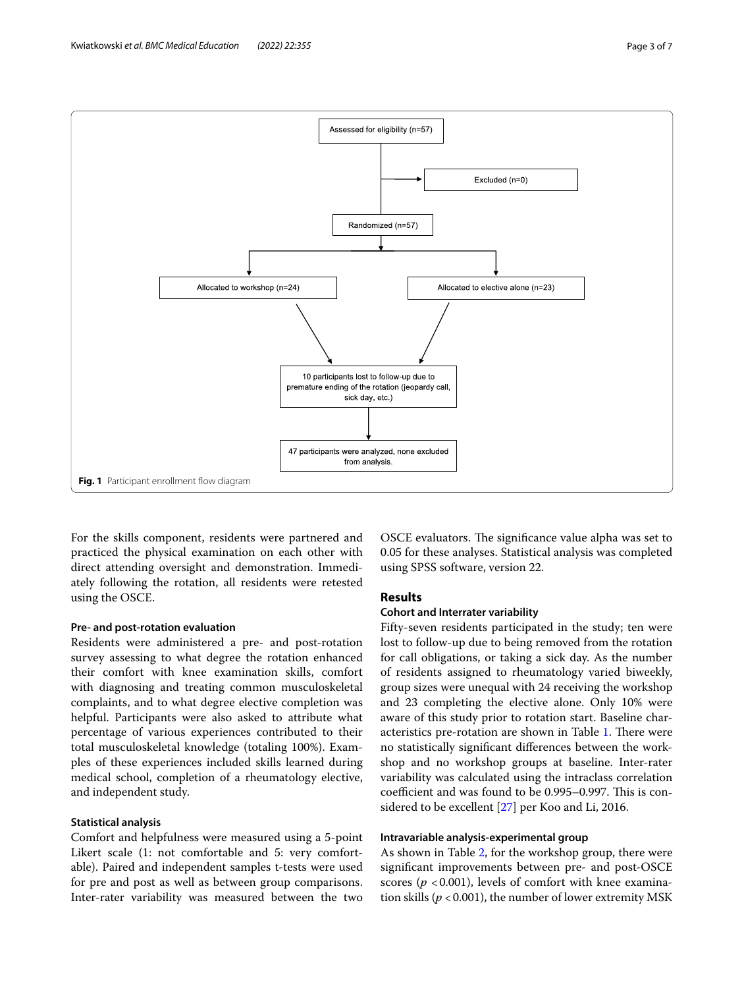

<span id="page-2-0"></span>For the skills component, residents were partnered and practiced the physical examination on each other with direct attending oversight and demonstration. Immediately following the rotation, all residents were retested using the OSCE.

#### **Pre‑ and post‑rotation evaluation**

Residents were administered a pre- and post-rotation survey assessing to what degree the rotation enhanced their comfort with knee examination skills, comfort with diagnosing and treating common musculoskeletal complaints, and to what degree elective completion was helpful. Participants were also asked to attribute what percentage of various experiences contributed to their total musculoskeletal knowledge (totaling 100%). Examples of these experiences included skills learned during medical school, completion of a rheumatology elective, and independent study.

#### **Statistical analysis**

Comfort and helpfulness were measured using a 5-point Likert scale (1: not comfortable and 5: very comfortable). Paired and independent samples t-tests were used for pre and post as well as between group comparisons. Inter-rater variability was measured between the two OSCE evaluators. The significance value alpha was set to 0.05 for these analyses. Statistical analysis was completed using SPSS software, version 22.

#### **Results**

#### **Cohort and Interrater variability**

Fifty-seven residents participated in the study; ten were lost to follow-up due to being removed from the rotation for call obligations, or taking a sick day. As the number of residents assigned to rheumatology varied biweekly, group sizes were unequal with 24 receiving the workshop and 23 completing the elective alone. Only 10% were aware of this study prior to rotation start. Baseline char-acteristics pre-rotation are shown in Table [1.](#page-3-0) There were no statistically signifcant diferences between the workshop and no workshop groups at baseline. Inter-rater variability was calculated using the intraclass correlation coefficient and was found to be 0.995-0.997. This is considered to be excellent [[27\]](#page-6-5) per Koo and Li, 2016.

#### **Intravariable analysis‑experimental group**

As shown in Table [2](#page-3-1), for the workshop group, there were signifcant improvements between pre- and post-OSCE scores ( $p < 0.001$ ), levels of comfort with knee examination skills ( $p < 0.001$ ), the number of lower extremity MSK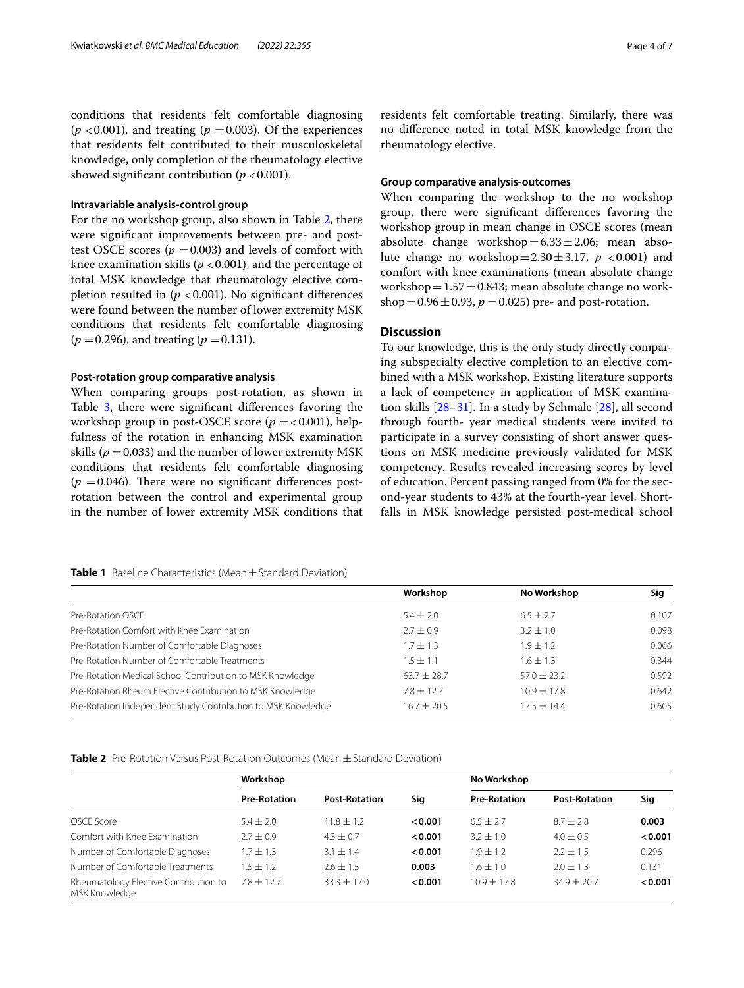conditions that residents felt comfortable diagnosing  $(p < 0.001)$ , and treating  $(p = 0.003)$ . Of the experiences that residents felt contributed to their musculoskeletal knowledge, only completion of the rheumatology elective showed significant contribution ( $p < 0.001$ ).

#### **Intravariable analysis‑control group**

For the no workshop group, also shown in Table [2](#page-3-1), there were signifcant improvements between pre- and posttest OSCE scores ( $p = 0.003$ ) and levels of comfort with knee examination skills ( $p < 0.001$ ), and the percentage of total MSK knowledge that rheumatology elective completion resulted in  $(p < 0.001)$ . No significant differences were found between the number of lower extremity MSK conditions that residents felt comfortable diagnosing  $(p = 0.296)$ , and treating  $(p = 0.131)$ .

#### **Post‑rotation group comparative analysis**

When comparing groups post-rotation, as shown in Table [3](#page-4-0), there were significant differences favoring the workshop group in post-OSCE score ( $p = < 0.001$ ), helpfulness of the rotation in enhancing MSK examination skills ( $p = 0.033$ ) and the number of lower extremity MSK conditions that residents felt comfortable diagnosing  $(p = 0.046)$ . There were no significant differences postrotation between the control and experimental group in the number of lower extremity MSK conditions that residents felt comfortable treating. Similarly, there was no diference noted in total MSK knowledge from the rheumatology elective.

#### **Group comparative analysis‑outcomes**

When comparing the workshop to the no workshop group, there were signifcant diferences favoring the workshop group in mean change in OSCE scores (mean absolute change workshop= $6.33 \pm 2.06$ ; mean absolute change no workshop= $2.30 \pm 3.17$ ,  $p < 0.001$ ) and comfort with knee examinations (mean absolute change workshop =  $1.57 \pm 0.843$ ; mean absolute change no workshop =  $0.96 \pm 0.93$ ,  $p = 0.025$ ) pre- and post-rotation.

### **Discussion**

To our knowledge, this is the only study directly comparing subspecialty elective completion to an elective combined with a MSK workshop. Existing literature supports a lack of competency in application of MSK examination skills [\[28–](#page-6-6)[31\]](#page-6-7). In a study by Schmale [[28\]](#page-6-6), all second through fourth- year medical students were invited to participate in a survey consisting of short answer questions on MSK medicine previously validated for MSK competency. Results revealed increasing scores by level of education. Percent passing ranged from 0% for the second-year students to 43% at the fourth-year level. Shortfalls in MSK knowledge persisted post-medical school

#### <span id="page-3-0"></span>**Table 1** Baseline Characteristics (Mean±Standard Deviation)

|                                                              | Workshop        | No Workshop   | Sig   |
|--------------------------------------------------------------|-----------------|---------------|-------|
| Pre-Rotation OSCE                                            | $5.4 \pm 2.0$   | $6.5 \pm 2.7$ | 0.107 |
| Pre-Rotation Comfort with Knee Examination                   | $2.7 \pm 0.9$   | $3.2 \pm 1.0$ | 0.098 |
| Pre-Rotation Number of Comfortable Diagnoses                 | $1.7 + 1.3$     | $1.9 \pm 1.2$ | 0.066 |
| Pre-Rotation Number of Comfortable Treatments                | $1.5 \pm 1.1$   | $1.6 \pm 1.3$ | 0.344 |
| Pre-Rotation Medical School Contribution to MSK Knowledge    | $63.7 \pm 28.7$ | $57.0 + 23.2$ | 0.592 |
| Pre-Rotation Rheum Elective Contribution to MSK Knowledge    | $7.8 + 12.7$    | $10.9 + 17.8$ | 0.642 |
| Pre-Rotation Independent Study Contribution to MSK Knowledge | $16.7 \pm 20.5$ | $17.5 + 14.4$ | 0.605 |

<span id="page-3-1"></span>**Table 2** Pre-Rotation Versus Post-Rotation Outcomes (Mean  $\pm$  Standard Deviation)

|                                                        | Workshop            |                      |         | No Workshop         |                      |         |
|--------------------------------------------------------|---------------------|----------------------|---------|---------------------|----------------------|---------|
|                                                        | <b>Pre-Rotation</b> | <b>Post-Rotation</b> | Sig     | <b>Pre-Rotation</b> | <b>Post-Rotation</b> | Sig     |
| OSCE Score                                             | $5.4 \pm 2.0$       | $11.8 \pm 1.2$       | 0.001   | $6.5 \pm 2.7$       | $8.7 \pm 2.8$        | 0.003   |
| Comfort with Knee Examination                          | $2.7 + 0.9$         | $4.3 + 0.7$          | 0.001   | $3.2 + 1.0$         | $4.0 \pm 0.5$        | < 0.001 |
| Number of Comfortable Diagnoses                        | $1.7 + 1.3$         | $3.1 \pm 1.4$        | < 0.001 | $1.9 + 1.2$         | $2.2 \pm 1.5$        | 0.296   |
| Number of Comfortable Treatments                       | $1.5 \pm 1.2$       | $2.6 \pm 1.5$        | 0.003   | $1.6 \pm 1.0$       | $2.0 \pm 1.3$        | 0.131   |
| Rheumatology Elective Contribution to<br>MSK Knowledge | $7.8 + 12.7$        | $33.3 \pm 17.0$      | < 0.001 | $10.9 + 17.8$       | $34.9 \pm 20.7$      | < 0.001 |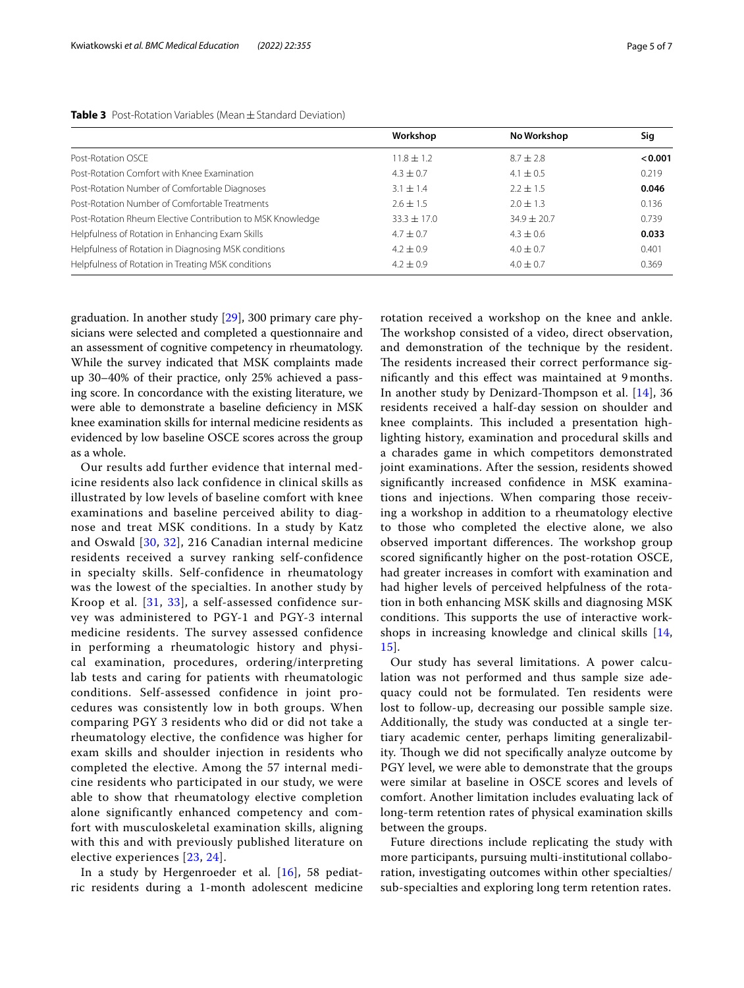|                                                            | Workshop        | No Workshop   | Sig     |
|------------------------------------------------------------|-----------------|---------------|---------|
| Post-Rotation OSCE                                         | $11.8 \pm 1.2$  | $8.7 + 2.8$   | < 0.001 |
| Post-Rotation Comfort with Knee Examination                | $4.3 \pm 0.7$   | $4.1 \pm 0.5$ | 0.219   |
| Post-Rotation Number of Comfortable Diagnoses              | $3.1 \pm 1.4$   | $2.2 + 1.5$   | 0.046   |
| Post-Rotation Number of Comfortable Treatments             | $2.6 \pm 1.5$   | $2.0 \pm 1.3$ | 0.136   |
| Post-Rotation Rheum Elective Contribution to MSK Knowledge | $33.3 \pm 17.0$ | $34.9 + 20.7$ | 0.739   |
| Helpfulness of Rotation in Enhancing Exam Skills           | $4.7 \pm 0.7$   | $4.3 + 0.6$   | 0.033   |
| Helpfulness of Rotation in Diagnosing MSK conditions       | $4.2 \pm 0.9$   | $4.0 \pm 0.7$ | 0.401   |
| Helpfulness of Rotation in Treating MSK conditions         | $4.2 \pm 0.9$   | $4.0 \pm 0.7$ | 0.369   |

<span id="page-4-0"></span>**Table 3** Post-Rotation Variables (Mean±Standard Deviation)

graduation. In another study [[29](#page-6-8)], 300 primary care physicians were selected and completed a questionnaire and an assessment of cognitive competency in rheumatology. While the survey indicated that MSK complaints made up 30–40% of their practice, only 25% achieved a passing score. In concordance with the existing literature, we were able to demonstrate a baseline defciency in MSK knee examination skills for internal medicine residents as evidenced by low baseline OSCE scores across the group as a whole.

Our results add further evidence that internal medicine residents also lack confidence in clinical skills as illustrated by low levels of baseline comfort with knee examinations and baseline perceived ability to diagnose and treat MSK conditions. In a study by Katz and Oswald [[30](#page-6-9), [32](#page-6-10)], 216 Canadian internal medicine residents received a survey ranking self-confidence in specialty skills. Self-confidence in rheumatology was the lowest of the specialties. In another study by Kroop et al. [\[31,](#page-6-7) [33\]](#page-6-11), a self-assessed confidence survey was administered to PGY-1 and PGY-3 internal medicine residents. The survey assessed confidence in performing a rheumatologic history and physical examination, procedures, ordering/interpreting lab tests and caring for patients with rheumatologic conditions. Self-assessed confidence in joint procedures was consistently low in both groups. When comparing PGY 3 residents who did or did not take a rheumatology elective, the confidence was higher for exam skills and shoulder injection in residents who completed the elective. Among the 57 internal medicine residents who participated in our study, we were able to show that rheumatology elective completion alone significantly enhanced competency and comfort with musculoskeletal examination skills, aligning with this and with previously published literature on elective experiences [[23](#page-6-1), [24\]](#page-6-2).

In a study by Hergenroeder et al. [\[16](#page-5-16)], 58 pediatric residents during a 1-month adolescent medicine rotation received a workshop on the knee and ankle. The workshop consisted of a video, direct observation, and demonstration of the technique by the resident. The residents increased their correct performance signifcantly and this efect was maintained at 9 months. In another study by Denizard-Thompson et al. [[14\]](#page-5-10), 36 residents received a half-day session on shoulder and knee complaints. This included a presentation highlighting history, examination and procedural skills and a charades game in which competitors demonstrated joint examinations. After the session, residents showed signifcantly increased confdence in MSK examinations and injections. When comparing those receiving a workshop in addition to a rheumatology elective to those who completed the elective alone, we also observed important differences. The workshop group scored signifcantly higher on the post-rotation OSCE, had greater increases in comfort with examination and had higher levels of perceived helpfulness of the rotation in both enhancing MSK skills and diagnosing MSK conditions. This supports the use of interactive workshops in increasing knowledge and clinical skills [\[14](#page-5-10), [15\]](#page-5-17).

Our study has several limitations. A power calculation was not performed and thus sample size adequacy could not be formulated. Ten residents were lost to follow-up, decreasing our possible sample size. Additionally, the study was conducted at a single tertiary academic center, perhaps limiting generalizability. Though we did not specifically analyze outcome by PGY level, we were able to demonstrate that the groups were similar at baseline in OSCE scores and levels of comfort. Another limitation includes evaluating lack of long-term retention rates of physical examination skills between the groups.

Future directions include replicating the study with more participants, pursuing multi-institutional collaboration, investigating outcomes within other specialties/ sub-specialties and exploring long term retention rates.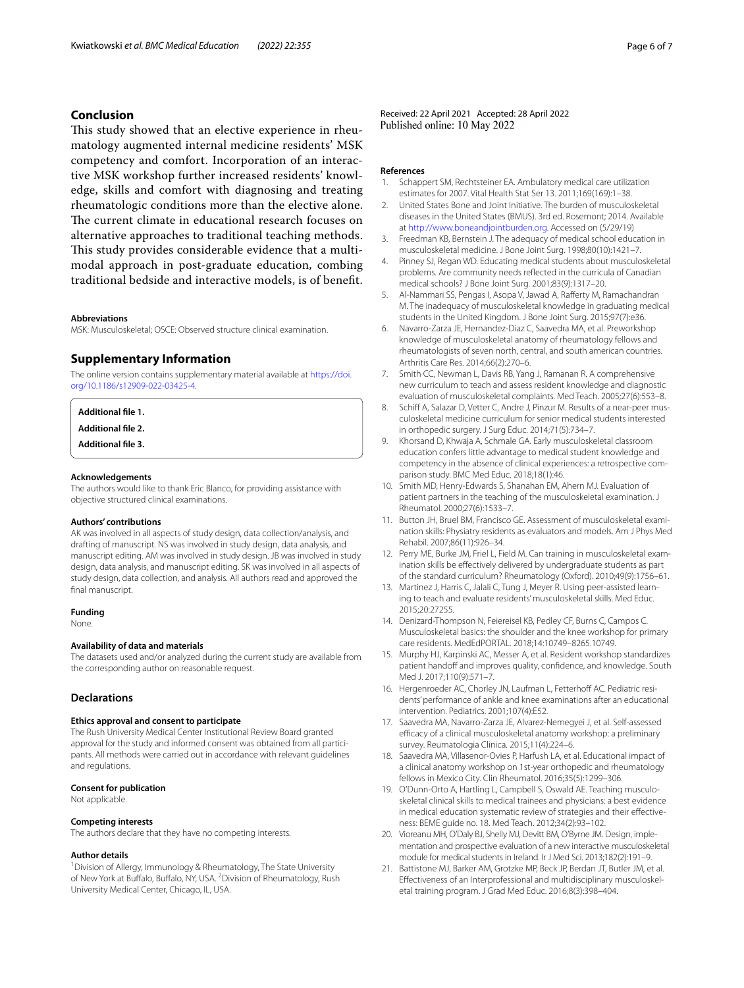#### **Conclusion**

This study showed that an elective experience in rheumatology augmented internal medicine residents' MSK competency and comfort. Incorporation of an interactive MSK workshop further increased residents' knowledge, skills and comfort with diagnosing and treating rheumatologic conditions more than the elective alone. The current climate in educational research focuses on alternative approaches to traditional teaching methods. This study provides considerable evidence that a multimodal approach in post-graduate education, combing traditional bedside and interactive models, is of beneft.

#### **Abbreviations**

MSK: Musculoskeletal; OSCE: Observed structure clinical examination.

#### **Supplementary Information**

The online version contains supplementary material available at [https://doi.](https://doi.org/10.1186/s12909-022-03425-4) [org/10.1186/s12909-022-03425-4](https://doi.org/10.1186/s12909-022-03425-4).

<span id="page-5-15"></span>**Additional fle 1.**

**Additional fle 2.**

**Additional fle 3.**

#### **Acknowledgements**

The authors would like to thank Eric Blanco, for providing assistance with objective structured clinical examinations.

#### **Authors' contributions**

AK was involved in all aspects of study design, data collection/analysis, and drafting of manuscript. NS was involved in study design, data analysis, and manuscript editing. AM was involved in study design. JB was involved in study design, data analysis, and manuscript editing. SK was involved in all aspects of study design, data collection, and analysis. All authors read and approved the final manuscript.

#### **Funding**

None.

#### **Availability of data and materials**

The datasets used and/or analyzed during the current study are available from the corresponding author on reasonable request.

#### **Declarations**

#### **Ethics approval and consent to participate**

The Rush University Medical Center Institutional Review Board granted approval for the study and informed consent was obtained from all participants. All methods were carried out in accordance with relevant guidelines and regulations.

#### **Consent for publication**

Not applicable.

#### **Competing interests**

The authors declare that they have no competing interests.

#### **Author details**

<sup>1</sup> Division of Allergy, Immunology & Rheumatology, The State University of New York at Buffalo, Buffalo, NY, USA. <sup>2</sup> Division of Rheumatology, Rush University Medical Center, Chicago, IL, USA.

Received: 22 April 2021 Accepted: 28 April 2022<br>Published online: 10 May 2022

#### **References**

- <span id="page-5-0"></span>1. Schappert SM, Rechtsteiner EA. Ambulatory medical care utilization estimates for 2007. Vital Health Stat Ser 13. 2011;169(169):1–38.
- <span id="page-5-1"></span>2. United States Bone and Joint Initiative. The burden of musculoskeletal diseases in the United States (BMUS). 3rd ed. Rosemont; 2014. Available at<http://www.boneandjointburden.org>. Accessed on (5/29/19)
- <span id="page-5-2"></span>3. Freedman KB, Bernstein J. The adequacy of medical school education in musculoskeletal medicine. J Bone Joint Surg. 1998;80(10):1421–7.
- <span id="page-5-3"></span>4. Pinney SJ, Regan WD. Educating medical students about musculoskeletal problems. Are community needs refected in the curricula of Canadian medical schools? J Bone Joint Surg. 2001;83(9):1317–20.
- <span id="page-5-4"></span>5. Al-Nammari SS, Pengas I, Asopa V, Jawad A, Raferty M, Ramachandran M. The inadequacy of musculoskeletal knowledge in graduating medical students in the United Kingdom. J Bone Joint Surg. 2015;97(7):e36.
- <span id="page-5-5"></span>6. Navarro-Zarza JE, Hernandez-Diaz C, Saavedra MA, et al. Preworkshop knowledge of musculoskeletal anatomy of rheumatology fellows and rheumatologists of seven north, central, and south american countries. Arthritis Care Res. 2014;66(2):270–6.
- <span id="page-5-6"></span>7. Smith CC, Newman L, Davis RB, Yang J, Ramanan R. A comprehensive new curriculum to teach and assess resident knowledge and diagnostic evaluation of musculoskeletal complaints. Med Teach. 2005;27(6):553–8.
- 8. Schiff A, Salazar D, Vetter C, Andre J, Pinzur M. Results of a near-peer musculoskeletal medicine curriculum for senior medical students interested in orthopedic surgery. J Surg Educ. 2014;71(5):734–7.
- <span id="page-5-7"></span>9. Khorsand D, Khwaja A, Schmale GA. Early musculoskeletal classroom education confers little advantage to medical student knowledge and competency in the absence of clinical experiences: a retrospective comparison study. BMC Med Educ. 2018;18(1):46.
- <span id="page-5-8"></span>10. Smith MD, Henry-Edwards S, Shanahan EM, Ahern MJ. Evaluation of patient partners in the teaching of the musculoskeletal examination. J Rheumatol. 2000;27(6):1533–7.
- 11. Button JH, Bruel BM, Francisco GE. Assessment of musculoskeletal examination skills: Physiatry residents as evaluators and models. Am J Phys Med Rehabil. 2007;86(11):926–34.
- 12. Perry ME, Burke JM, Friel L, Field M. Can training in musculoskeletal examination skills be effectively delivered by undergraduate students as part of the standard curriculum? Rheumatology (Oxford). 2010;49(9):1756–61.
- <span id="page-5-9"></span>13. Martinez J, Harris C, Jalali C, Tung J, Meyer R. Using peer-assisted learning to teach and evaluate residents' musculoskeletal skills. Med Educ. 2015;20:27255.
- <span id="page-5-10"></span>14. Denizard-Thompson N, Feiereisel KB, Pedley CF, Burns C, Campos C. Musculoskeletal basics: the shoulder and the knee workshop for primary care residents. MedEdPORTAL. 2018;14:10749–8265.10749.
- <span id="page-5-17"></span>15. Murphy HJ, Karpinski AC, Messer A, et al. Resident workshop standardizes patient handoff and improves quality, confidence, and knowledge. South Med J. 2017;110(9):571–7.
- <span id="page-5-16"></span>16. Hergenroeder AC, Chorley JN, Laufman L, Fetterhoff AC. Pediatric residents' performance of ankle and knee examinations after an educational intervention. Pediatrics. 2001;107(4):E52.
- 17. Saavedra MA, Navarro-Zarza JE, Alvarez-Nemegyei J, et al. Self-assessed efficacy of a clinical musculoskeletal anatomy workshop: a preliminary survey. Reumatologia Clinica. 2015;11(4):224–6.
- <span id="page-5-11"></span>18. Saavedra MA, Villasenor-Ovies P, Harfush LA, et al. Educational impact of a clinical anatomy workshop on 1st-year orthopedic and rheumatology fellows in Mexico City. Clin Rheumatol. 2016;35(5):1299–306.
- <span id="page-5-12"></span>19. O'Dunn-Orto A, Hartling L, Campbell S, Oswald AE. Teaching musculoskeletal clinical skills to medical trainees and physicians: a best evidence in medical education systematic review of strategies and their efectiveness: BEME guide no. 18. Med Teach. 2012;34(2):93–102.
- <span id="page-5-13"></span>20. Vioreanu MH, O'Daly BJ, Shelly MJ, Devitt BM, O'Byrne JM. Design, implementation and prospective evaluation of a new interactive musculoskeletal module for medical students in Ireland. Ir J Med Sci. 2013;182(2):191–9.
- <span id="page-5-14"></span>21. Battistone MJ, Barker AM, Grotzke MP, Beck JP, Berdan JT, Butler JM, et al. Efectiveness of an Interprofessional and multidisciplinary musculoskeletal training program. J Grad Med Educ. 2016;8(3):398–404.